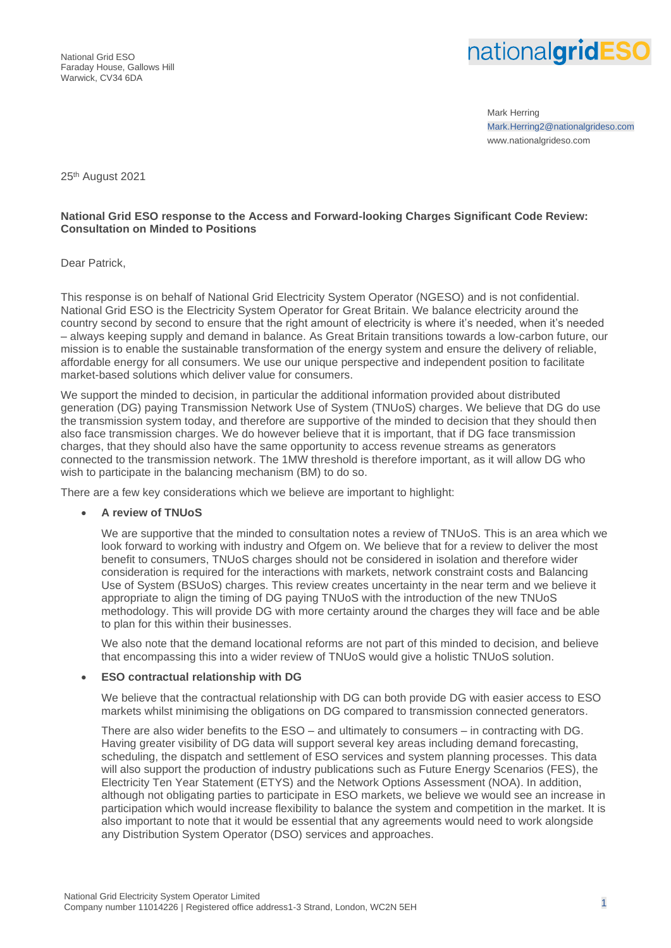National Grid ESO Faraday House, Gallows Hill Warwick, CV34 6DA



Mark Herring Mark.Herring2@nationalgrideso.com www.nationalgrideso.com

25th August 2021

## **National Grid ESO response to the Access and Forward-looking Charges Significant Code Review: Consultation on Minded to Positions**

Dear Patrick,

This response is on behalf of National Grid Electricity System Operator (NGESO) and is not confidential. National Grid ESO is the Electricity System Operator for Great Britain. We balance electricity around the country second by second to ensure that the right amount of electricity is where it's needed, when it's needed – always keeping supply and demand in balance. As Great Britain transitions towards a low-carbon future, our mission is to enable the sustainable transformation of the energy system and ensure the delivery of reliable, affordable energy for all consumers. We use our unique perspective and independent position to facilitate market-based solutions which deliver value for consumers.

We support the minded to decision, in particular the additional information provided about distributed generation (DG) paying Transmission Network Use of System (TNUoS) charges. We believe that DG do use the transmission system today, and therefore are supportive of the minded to decision that they should then also face transmission charges. We do however believe that it is important, that if DG face transmission charges, that they should also have the same opportunity to access revenue streams as generators connected to the transmission network. The 1MW threshold is therefore important, as it will allow DG who wish to participate in the balancing mechanism (BM) to do so.

There are a few key considerations which we believe are important to highlight:

## • **A review of TNUoS**

We are supportive that the minded to consultation notes a review of TNUoS. This is an area which we look forward to working with industry and Ofgem on. We believe that for a review to deliver the most benefit to consumers, TNUoS charges should not be considered in isolation and therefore wider consideration is required for the interactions with markets, network constraint costs and Balancing Use of System (BSUoS) charges. This review creates uncertainty in the near term and we believe it appropriate to align the timing of DG paying TNUoS with the introduction of the new TNUoS methodology. This will provide DG with more certainty around the charges they will face and be able to plan for this within their businesses.

We also note that the demand locational reforms are not part of this minded to decision, and believe that encompassing this into a wider review of TNUoS would give a holistic TNUoS solution.

#### • **ESO contractual relationship with DG**

We believe that the contractual relationship with DG can both provide DG with easier access to ESO markets whilst minimising the obligations on DG compared to transmission connected generators.

There are also wider benefits to the ESO – and ultimately to consumers – in contracting with DG. Having greater visibility of DG data will support several key areas including demand forecasting, scheduling, the dispatch and settlement of ESO services and system planning processes. This data will also support the production of industry publications such as Future Energy Scenarios (FES), the Electricity Ten Year Statement (ETYS) and the Network Options Assessment (NOA). In addition, although not obligating parties to participate in ESO markets, we believe we would see an increase in participation which would increase flexibility to balance the system and competition in the market. It is also important to note that it would be essential that any agreements would need to work alongside any Distribution System Operator (DSO) services and approaches.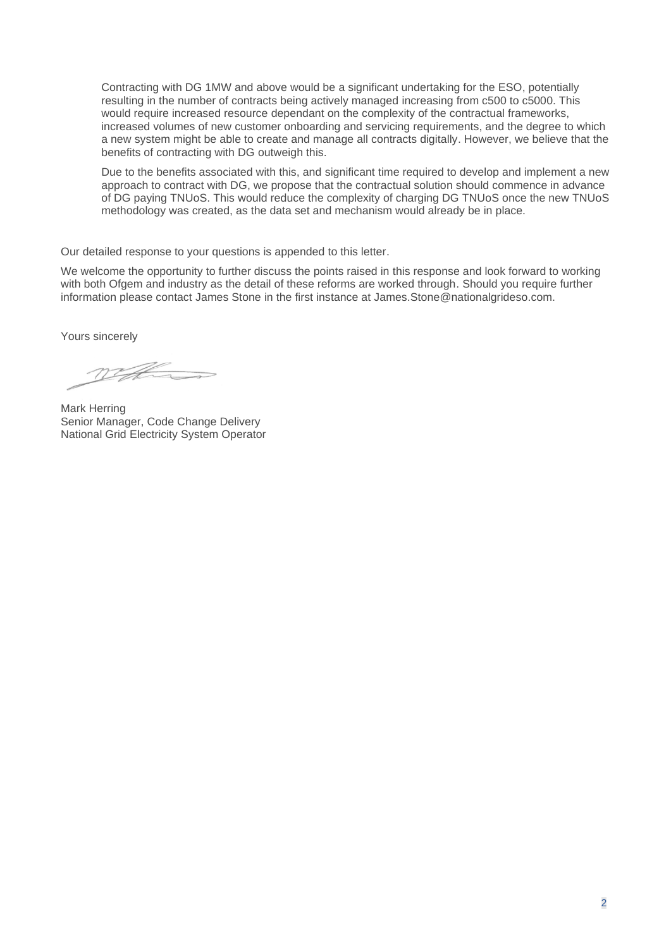Contracting with DG 1MW and above would be a significant undertaking for the ESO, potentially resulting in the number of contracts being actively managed increasing from c500 to c5000. This would require increased resource dependant on the complexity of the contractual frameworks, increased volumes of new customer onboarding and servicing requirements, and the degree to which a new system might be able to create and manage all contracts digitally. However, we believe that the benefits of contracting with DG outweigh this.

Due to the benefits associated with this, and significant time required to develop and implement a new approach to contract with DG, we propose that the contractual solution should commence in advance of DG paying TNUoS. This would reduce the complexity of charging DG TNUoS once the new TNUoS methodology was created, as the data set and mechanism would already be in place.

Our detailed response to your questions is appended to this letter.

We welcome the opportunity to further discuss the points raised in this response and look forward to working with both Ofgem and industry as the detail of these reforms are worked through. Should you require further information please contact James Stone in the first instance at James.Stone@nationalgrideso.com.

Yours sincerely

WHE

Mark Herring Senior Manager, Code Change Delivery National Grid Electricity System Operator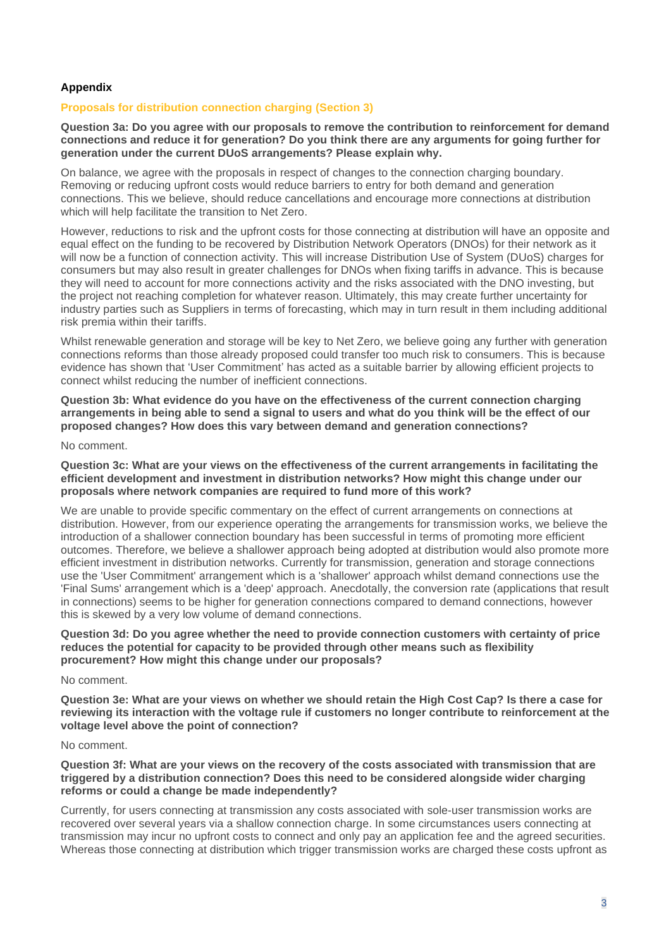## **Appendix**

## **Proposals for distribution connection charging (Section 3)**

**Question 3a: Do you agree with our proposals to remove the contribution to reinforcement for demand connections and reduce it for generation? Do you think there are any arguments for going further for generation under the current DUoS arrangements? Please explain why.**

On balance, we agree with the proposals in respect of changes to the connection charging boundary. Removing or reducing upfront costs would reduce barriers to entry for both demand and generation connections. This we believe, should reduce cancellations and encourage more connections at distribution which will help facilitate the transition to Net Zero.

However, reductions to risk and the upfront costs for those connecting at distribution will have an opposite and equal effect on the funding to be recovered by Distribution Network Operators (DNOs) for their network as it will now be a function of connection activity. This will increase Distribution Use of System (DUoS) charges for consumers but may also result in greater challenges for DNOs when fixing tariffs in advance. This is because they will need to account for more connections activity and the risks associated with the DNO investing, but the project not reaching completion for whatever reason. Ultimately, this may create further uncertainty for industry parties such as Suppliers in terms of forecasting, which may in turn result in them including additional risk premia within their tariffs.

Whilst renewable generation and storage will be key to Net Zero, we believe going any further with generation connections reforms than those already proposed could transfer too much risk to consumers. This is because evidence has shown that 'User Commitment' has acted as a suitable barrier by allowing efficient projects to connect whilst reducing the number of inefficient connections.

**Question 3b: What evidence do you have on the effectiveness of the current connection charging arrangements in being able to send a signal to users and what do you think will be the effect of our proposed changes? How does this vary between demand and generation connections?**

#### No comment.

**Question 3c: What are your views on the effectiveness of the current arrangements in facilitating the efficient development and investment in distribution networks? How might this change under our proposals where network companies are required to fund more of this work?**

We are unable to provide specific commentary on the effect of current arrangements on connections at distribution. However, from our experience operating the arrangements for transmission works, we believe the introduction of a shallower connection boundary has been successful in terms of promoting more efficient outcomes. Therefore, we believe a shallower approach being adopted at distribution would also promote more efficient investment in distribution networks. Currently for transmission, generation and storage connections use the 'User Commitment' arrangement which is a 'shallower' approach whilst demand connections use the 'Final Sums' arrangement which is a 'deep' approach. Anecdotally, the conversion rate (applications that result in connections) seems to be higher for generation connections compared to demand connections, however this is skewed by a very low volume of demand connections.

**Question 3d: Do you agree whether the need to provide connection customers with certainty of price reduces the potential for capacity to be provided through other means such as flexibility procurement? How might this change under our proposals?**

#### No comment.

**Question 3e: What are your views on whether we should retain the High Cost Cap? Is there a case for reviewing its interaction with the voltage rule if customers no longer contribute to reinforcement at the voltage level above the point of connection?** 

#### No comment.

**Question 3f: What are your views on the recovery of the costs associated with transmission that are triggered by a distribution connection? Does this need to be considered alongside wider charging reforms or could a change be made independently?** 

Currently, for users connecting at transmission any costs associated with sole-user transmission works are recovered over several years via a shallow connection charge. In some circumstances users connecting at transmission may incur no upfront costs to connect and only pay an application fee and the agreed securities. Whereas those connecting at distribution which trigger transmission works are charged these costs upfront as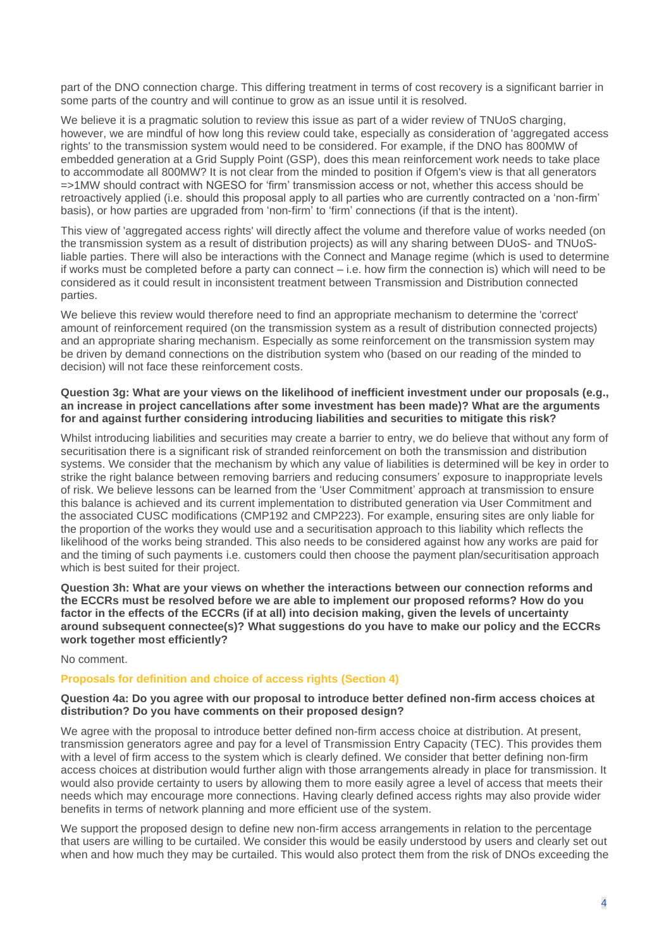part of the DNO connection charge. This differing treatment in terms of cost recovery is a significant barrier in some parts of the country and will continue to grow as an issue until it is resolved.

We believe it is a pragmatic solution to review this issue as part of a wider review of TNUoS charging. however, we are mindful of how long this review could take, especially as consideration of 'aggregated access rights' to the transmission system would need to be considered. For example, if the DNO has 800MW of embedded generation at a Grid Supply Point (GSP), does this mean reinforcement work needs to take place to accommodate all 800MW? It is not clear from the minded to position if Ofgem's view is that all generators =>1MW should contract with NGESO for 'firm' transmission access or not, whether this access should be retroactively applied (i.e. should this proposal apply to all parties who are currently contracted on a 'non-firm' basis), or how parties are upgraded from 'non-firm' to 'firm' connections (if that is the intent).

This view of 'aggregated access rights' will directly affect the volume and therefore value of works needed (on the transmission system as a result of distribution projects) as will any sharing between DUoS- and TNUoSliable parties. There will also be interactions with the Connect and Manage regime (which is used to determine if works must be completed before a party can connect – i.e. how firm the connection is) which will need to be considered as it could result in inconsistent treatment between Transmission and Distribution connected parties.

We believe this review would therefore need to find an appropriate mechanism to determine the 'correct' amount of reinforcement required (on the transmission system as a result of distribution connected projects) and an appropriate sharing mechanism. Especially as some reinforcement on the transmission system may be driven by demand connections on the distribution system who (based on our reading of the minded to decision) will not face these reinforcement costs.

## **Question 3g: What are your views on the likelihood of inefficient investment under our proposals (e.g., an increase in project cancellations after some investment has been made)? What are the arguments for and against further considering introducing liabilities and securities to mitigate this risk?**

Whilst introducing liabilities and securities may create a barrier to entry, we do believe that without any form of securitisation there is a significant risk of stranded reinforcement on both the transmission and distribution systems. We consider that the mechanism by which any value of liabilities is determined will be key in order to strike the right balance between removing barriers and reducing consumers' exposure to inappropriate levels of risk. We believe lessons can be learned from the 'User Commitment' approach at transmission to ensure this balance is achieved and its current implementation to distributed generation via User Commitment and the associated CUSC modifications (CMP192 and CMP223). For example, ensuring sites are only liable for the proportion of the works they would use and a securitisation approach to this liability which reflects the likelihood of the works being stranded. This also needs to be considered against how any works are paid for and the timing of such payments i.e. customers could then choose the payment plan/securitisation approach which is best suited for their project.

**Question 3h: What are your views on whether the interactions between our connection reforms and the ECCRs must be resolved before we are able to implement our proposed reforms? How do you factor in the effects of the ECCRs (if at all) into decision making, given the levels of uncertainty around subsequent connectee(s)? What suggestions do you have to make our policy and the ECCRs work together most efficiently?**

### No comment.

### **Proposals for definition and choice of access rights (Section 4)**

#### **Question 4a: Do you agree with our proposal to introduce better defined non-firm access choices at distribution? Do you have comments on their proposed design?**

We agree with the proposal to introduce better defined non-firm access choice at distribution. At present, transmission generators agree and pay for a level of Transmission Entry Capacity (TEC). This provides them with a level of firm access to the system which is clearly defined. We consider that better defining non-firm access choices at distribution would further align with those arrangements already in place for transmission. It would also provide certainty to users by allowing them to more easily agree a level of access that meets their needs which may encourage more connections. Having clearly defined access rights may also provide wider benefits in terms of network planning and more efficient use of the system.

We support the proposed design to define new non-firm access arrangements in relation to the percentage that users are willing to be curtailed. We consider this would be easily understood by users and clearly set out when and how much they may be curtailed. This would also protect them from the risk of DNOs exceeding the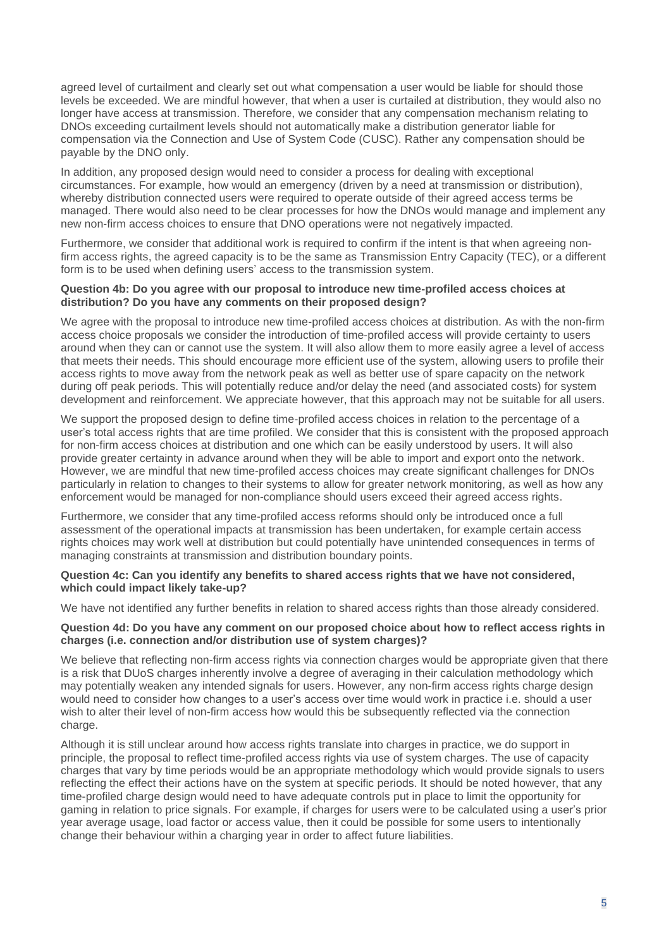agreed level of curtailment and clearly set out what compensation a user would be liable for should those levels be exceeded. We are mindful however, that when a user is curtailed at distribution, they would also no longer have access at transmission. Therefore, we consider that any compensation mechanism relating to DNOs exceeding curtailment levels should not automatically make a distribution generator liable for compensation via the Connection and Use of System Code (CUSC). Rather any compensation should be payable by the DNO only.

In addition, any proposed design would need to consider a process for dealing with exceptional circumstances. For example, how would an emergency (driven by a need at transmission or distribution), whereby distribution connected users were required to operate outside of their agreed access terms be managed. There would also need to be clear processes for how the DNOs would manage and implement any new non-firm access choices to ensure that DNO operations were not negatively impacted.

Furthermore, we consider that additional work is required to confirm if the intent is that when agreeing nonfirm access rights, the agreed capacity is to be the same as Transmission Entry Capacity (TEC), or a different form is to be used when defining users' access to the transmission system.

## **Question 4b: Do you agree with our proposal to introduce new time-profiled access choices at distribution? Do you have any comments on their proposed design?**

We agree with the proposal to introduce new time-profiled access choices at distribution. As with the non-firm access choice proposals we consider the introduction of time-profiled access will provide certainty to users around when they can or cannot use the system. It will also allow them to more easily agree a level of access that meets their needs. This should encourage more efficient use of the system, allowing users to profile their access rights to move away from the network peak as well as better use of spare capacity on the network during off peak periods. This will potentially reduce and/or delay the need (and associated costs) for system development and reinforcement. We appreciate however, that this approach may not be suitable for all users.

We support the proposed design to define time-profiled access choices in relation to the percentage of a user's total access rights that are time profiled. We consider that this is consistent with the proposed approach for non-firm access choices at distribution and one which can be easily understood by users. It will also provide greater certainty in advance around when they will be able to import and export onto the network. However, we are mindful that new time-profiled access choices may create significant challenges for DNOs particularly in relation to changes to their systems to allow for greater network monitoring, as well as how any enforcement would be managed for non-compliance should users exceed their agreed access rights.

Furthermore, we consider that any time-profiled access reforms should only be introduced once a full assessment of the operational impacts at transmission has been undertaken, for example certain access rights choices may work well at distribution but could potentially have unintended consequences in terms of managing constraints at transmission and distribution boundary points.

### **Question 4c: Can you identify any benefits to shared access rights that we have not considered, which could impact likely take-up?**

We have not identified any further benefits in relation to shared access rights than those already considered.

### **Question 4d: Do you have any comment on our proposed choice about how to reflect access rights in charges (i.e. connection and/or distribution use of system charges)?**

We believe that reflecting non-firm access rights via connection charges would be appropriate given that there is a risk that DUoS charges inherently involve a degree of averaging in their calculation methodology which may potentially weaken any intended signals for users. However, any non-firm access rights charge design would need to consider how changes to a user's access over time would work in practice i.e. should a user wish to alter their level of non-firm access how would this be subsequently reflected via the connection charge.

Although it is still unclear around how access rights translate into charges in practice, we do support in principle, the proposal to reflect time-profiled access rights via use of system charges. The use of capacity charges that vary by time periods would be an appropriate methodology which would provide signals to users reflecting the effect their actions have on the system at specific periods. It should be noted however, that any time-profiled charge design would need to have adequate controls put in place to limit the opportunity for gaming in relation to price signals. For example, if charges for users were to be calculated using a user's prior year average usage, load factor or access value, then it could be possible for some users to intentionally change their behaviour within a charging year in order to affect future liabilities.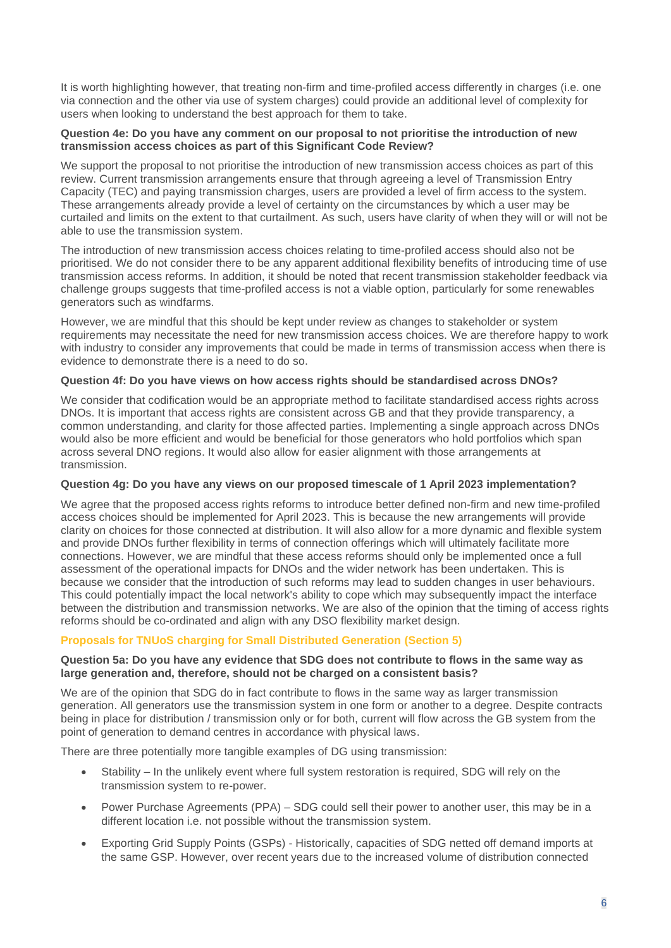It is worth highlighting however, that treating non-firm and time-profiled access differently in charges (i.e. one via connection and the other via use of system charges) could provide an additional level of complexity for users when looking to understand the best approach for them to take.

# **Question 4e: Do you have any comment on our proposal to not prioritise the introduction of new transmission access choices as part of this Significant Code Review?**

We support the proposal to not prioritise the introduction of new transmission access choices as part of this review. Current transmission arrangements ensure that through agreeing a level of Transmission Entry Capacity (TEC) and paying transmission charges, users are provided a level of firm access to the system. These arrangements already provide a level of certainty on the circumstances by which a user may be curtailed and limits on the extent to that curtailment. As such, users have clarity of when they will or will not be able to use the transmission system.

The introduction of new transmission access choices relating to time-profiled access should also not be prioritised. We do not consider there to be any apparent additional flexibility benefits of introducing time of use transmission access reforms. In addition, it should be noted that recent transmission stakeholder feedback via challenge groups suggests that time-profiled access is not a viable option, particularly for some renewables generators such as windfarms.

However, we are mindful that this should be kept under review as changes to stakeholder or system requirements may necessitate the need for new transmission access choices. We are therefore happy to work with industry to consider any improvements that could be made in terms of transmission access when there is evidence to demonstrate there is a need to do so.

# **Question 4f: Do you have views on how access rights should be standardised across DNOs?**

We consider that codification would be an appropriate method to facilitate standardised access rights across DNOs. It is important that access rights are consistent across GB and that they provide transparency, a common understanding, and clarity for those affected parties. Implementing a single approach across DNOs would also be more efficient and would be beneficial for those generators who hold portfolios which span across several DNO regions. It would also allow for easier alignment with those arrangements at transmission.

# **Question 4g: Do you have any views on our proposed timescale of 1 April 2023 implementation?**

We agree that the proposed access rights reforms to introduce better defined non-firm and new time-profiled access choices should be implemented for April 2023. This is because the new arrangements will provide clarity on choices for those connected at distribution. It will also allow for a more dynamic and flexible system and provide DNOs further flexibility in terms of connection offerings which will ultimately facilitate more connections. However, we are mindful that these access reforms should only be implemented once a full assessment of the operational impacts for DNOs and the wider network has been undertaken. This is because we consider that the introduction of such reforms may lead to sudden changes in user behaviours. This could potentially impact the local network's ability to cope which may subsequently impact the interface between the distribution and transmission networks. We are also of the opinion that the timing of access rights reforms should be co-ordinated and align with any DSO flexibility market design.

# **Proposals for TNUoS charging for Small Distributed Generation (Section 5)**

## **Question 5a: Do you have any evidence that SDG does not contribute to flows in the same way as large generation and, therefore, should not be charged on a consistent basis?**

We are of the opinion that SDG do in fact contribute to flows in the same way as larger transmission generation. All generators use the transmission system in one form or another to a degree. Despite contracts being in place for distribution / transmission only or for both, current will flow across the GB system from the point of generation to demand centres in accordance with physical laws.

There are three potentially more tangible examples of DG using transmission:

- Stability In the unlikely event where full system restoration is required, SDG will rely on the transmission system to re-power.
- Power Purchase Agreements (PPA) SDG could sell their power to another user, this may be in a different location i.e. not possible without the transmission system.
- Exporting Grid Supply Points (GSPs) Historically, capacities of SDG netted off demand imports at the same GSP. However, over recent years due to the increased volume of distribution connected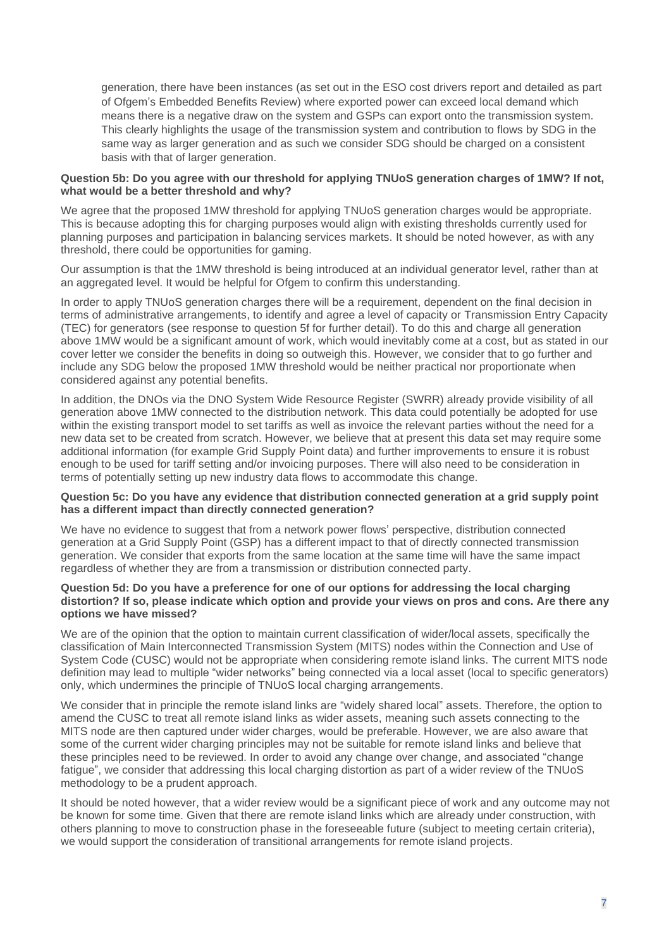generation, there have been instances (as set out in the ESO cost drivers report and detailed as part of Ofgem's Embedded Benefits Review) where exported power can exceed local demand which means there is a negative draw on the system and GSPs can export onto the transmission system. This clearly highlights the usage of the transmission system and contribution to flows by SDG in the same way as larger generation and as such we consider SDG should be charged on a consistent basis with that of larger generation.

## **Question 5b: Do you agree with our threshold for applying TNUoS generation charges of 1MW? If not, what would be a better threshold and why?**

We agree that the proposed 1MW threshold for applying TNUoS generation charges would be appropriate. This is because adopting this for charging purposes would align with existing thresholds currently used for planning purposes and participation in balancing services markets. It should be noted however, as with any threshold, there could be opportunities for gaming.

Our assumption is that the 1MW threshold is being introduced at an individual generator level, rather than at an aggregated level. It would be helpful for Ofgem to confirm this understanding.

In order to apply TNUoS generation charges there will be a requirement, dependent on the final decision in terms of administrative arrangements, to identify and agree a level of capacity or Transmission Entry Capacity (TEC) for generators (see response to question 5f for further detail). To do this and charge all generation above 1MW would be a significant amount of work, which would inevitably come at a cost, but as stated in our cover letter we consider the benefits in doing so outweigh this. However, we consider that to go further and include any SDG below the proposed 1MW threshold would be neither practical nor proportionate when considered against any potential benefits.

In addition, the DNOs via the DNO System Wide Resource Register (SWRR) already provide visibility of all generation above 1MW connected to the distribution network. This data could potentially be adopted for use within the existing transport model to set tariffs as well as invoice the relevant parties without the need for a new data set to be created from scratch. However, we believe that at present this data set may require some additional information (for example Grid Supply Point data) and further improvements to ensure it is robust enough to be used for tariff setting and/or invoicing purposes. There will also need to be consideration in terms of potentially setting up new industry data flows to accommodate this change.

## **Question 5c: Do you have any evidence that distribution connected generation at a grid supply point has a different impact than directly connected generation?**

We have no evidence to suggest that from a network power flows' perspective, distribution connected generation at a Grid Supply Point (GSP) has a different impact to that of directly connected transmission generation. We consider that exports from the same location at the same time will have the same impact regardless of whether they are from a transmission or distribution connected party.

## **Question 5d: Do you have a preference for one of our options for addressing the local charging distortion? If so, please indicate which option and provide your views on pros and cons. Are there any options we have missed?**

We are of the opinion that the option to maintain current classification of wider/local assets, specifically the classification of Main Interconnected Transmission System (MITS) nodes within the Connection and Use of System Code (CUSC) would not be appropriate when considering remote island links. The current MITS node definition may lead to multiple "wider networks" being connected via a local asset (local to specific generators) only, which undermines the principle of TNUoS local charging arrangements.

We consider that in principle the remote island links are "widely shared local" assets. Therefore, the option to amend the CUSC to treat all remote island links as wider assets, meaning such assets connecting to the MITS node are then captured under wider charges, would be preferable. However, we are also aware that some of the current wider charging principles may not be suitable for remote island links and believe that these principles need to be reviewed. In order to avoid any change over change, and associated "change fatigue", we consider that addressing this local charging distortion as part of a wider review of the TNUoS methodology to be a prudent approach.

It should be noted however, that a wider review would be a significant piece of work and any outcome may not be known for some time. Given that there are remote island links which are already under construction, with others planning to move to construction phase in the foreseeable future (subject to meeting certain criteria), we would support the consideration of transitional arrangements for remote island projects.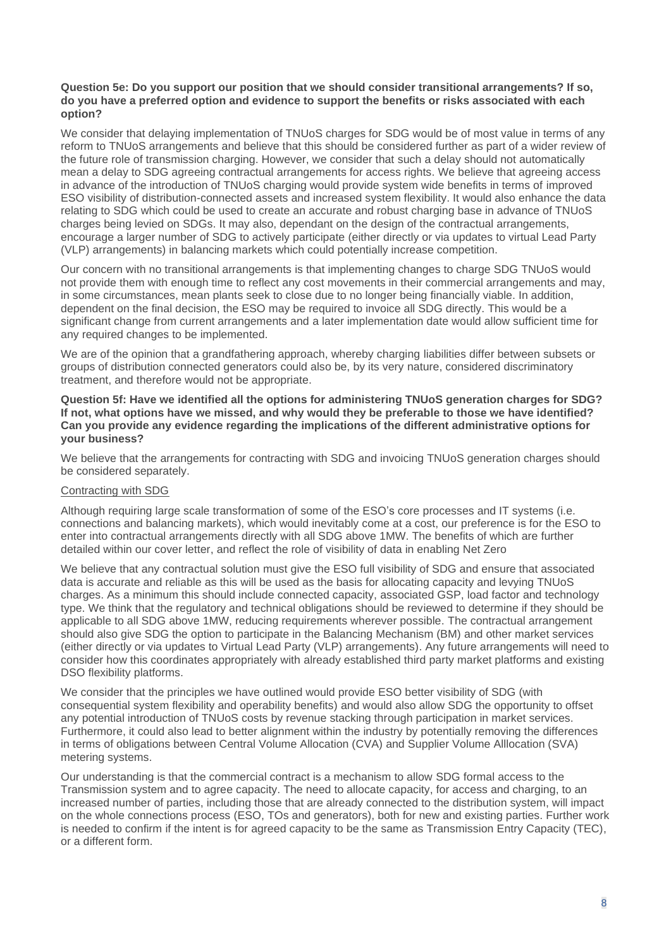### **Question 5e: Do you support our position that we should consider transitional arrangements? If so, do you have a preferred option and evidence to support the benefits or risks associated with each option?**

We consider that delaying implementation of TNUoS charges for SDG would be of most value in terms of any reform to TNUoS arrangements and believe that this should be considered further as part of a wider review of the future role of transmission charging. However, we consider that such a delay should not automatically mean a delay to SDG agreeing contractual arrangements for access rights. We believe that agreeing access in advance of the introduction of TNUoS charging would provide system wide benefits in terms of improved ESO visibility of distribution-connected assets and increased system flexibility. It would also enhance the data relating to SDG which could be used to create an accurate and robust charging base in advance of TNUoS charges being levied on SDGs. It may also, dependant on the design of the contractual arrangements, encourage a larger number of SDG to actively participate (either directly or via updates to virtual Lead Party (VLP) arrangements) in balancing markets which could potentially increase competition.

Our concern with no transitional arrangements is that implementing changes to charge SDG TNUoS would not provide them with enough time to reflect any cost movements in their commercial arrangements and may, in some circumstances, mean plants seek to close due to no longer being financially viable. In addition, dependent on the final decision, the ESO may be required to invoice all SDG directly. This would be a significant change from current arrangements and a later implementation date would allow sufficient time for any required changes to be implemented.

We are of the opinion that a grandfathering approach, whereby charging liabilities differ between subsets or groups of distribution connected generators could also be, by its very nature, considered discriminatory treatment, and therefore would not be appropriate.

**Question 5f: Have we identified all the options for administering TNUoS generation charges for SDG? If not, what options have we missed, and why would they be preferable to those we have identified? Can you provide any evidence regarding the implications of the different administrative options for your business?** 

We believe that the arrangements for contracting with SDG and invoicing TNUoS generation charges should be considered separately.

# Contracting with SDG

Although requiring large scale transformation of some of the ESO's core processes and IT systems (i.e. connections and balancing markets), which would inevitably come at a cost, our preference is for the ESO to enter into contractual arrangements directly with all SDG above 1MW. The benefits of which are further detailed within our cover letter, and reflect the role of visibility of data in enabling Net Zero

We believe that any contractual solution must give the ESO full visibility of SDG and ensure that associated data is accurate and reliable as this will be used as the basis for allocating capacity and levying TNUoS charges. As a minimum this should include connected capacity, associated GSP, load factor and technology type. We think that the regulatory and technical obligations should be reviewed to determine if they should be applicable to all SDG above 1MW, reducing requirements wherever possible. The contractual arrangement should also give SDG the option to participate in the Balancing Mechanism (BM) and other market services (either directly or via updates to Virtual Lead Party (VLP) arrangements). Any future arrangements will need to consider how this coordinates appropriately with already established third party market platforms and existing DSO flexibility platforms.

We consider that the principles we have outlined would provide ESO better visibility of SDG (with consequential system flexibility and operability benefits) and would also allow SDG the opportunity to offset any potential introduction of TNUoS costs by revenue stacking through participation in market services. Furthermore, it could also lead to better alignment within the industry by potentially removing the differences in terms of obligations between Central Volume Allocation (CVA) and Supplier Volume Alllocation (SVA) metering systems.

Our understanding is that the commercial contract is a mechanism to allow SDG formal access to the Transmission system and to agree capacity. The need to allocate capacity, for access and charging, to an increased number of parties, including those that are already connected to the distribution system, will impact on the whole connections process (ESO, TOs and generators), both for new and existing parties. Further work is needed to confirm if the intent is for agreed capacity to be the same as Transmission Entry Capacity (TEC), or a different form.